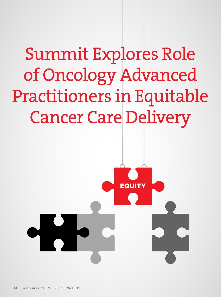# Summit Explores Role of Oncology Advanced Practitioners in Equitable Cancer Care Delivery

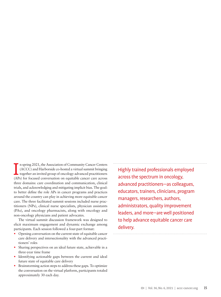In spring 2021, the Association of Community Cancer Centers (ACCC) and Harborside co-hosted a virtual summit bringing together an invited group of oncology advanced practitioners (APs) for focused conversation on equitable n spring 2021, the Association of Community Cancer Centers (ACCC) and Harborside co-hosted a virtual summit bringing together an invited group of oncology advanced practitioners three domains: care coordination and communication, clinical trials, and acknowledging and mitigating implicit bias. The goal: to better define the role APs in cancer programs and practices around the country can play in achieving more equitable cancer care. The three facilitated summit sessions included nurse practitioners (NPs), clinical nurse specialists, physician assistants (PAs), and oncology pharmacists, along with oncology and non-oncology physicians and patient advocates.

The virtual summit discussion framework was designed to elicit maximum engagement and dynamic exchange among participants. Each session followed a four-part format:

- Opening conversation on the current state of equitable cancer care delivery and intersectionality with the advanced practitioners' roles
- Sharing perspectives on an ideal future state, achievable in a three-year time frame
- Identifying actionable gaps between the current and ideal future state of equitable care delivery
- Brainstorming action steps to address these gaps. To optimize the conversation on the virtual platform, participants totaled approximately 30 each day.

Highly trained professionals employed across the spectrum in oncology, advanced practitioners—as colleagues, educators, trainers, clinicians, program managers, researchers, authors, administrators, quality improvement leaders, and more—are well positioned to help advance equitable cancer care delivery.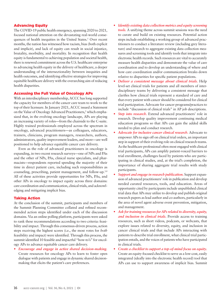# Advancing Equity

The COVID-19 public health emergency, spanning 2020 to 2021, focused national attention on the devastating real-world consequences of health inequities in the United States.1 Over recent months, the nation has witnessed how racism, bias (both explicit and implicit), and lack of equity can result in social injustice, brutality, morbidity, and mortality. In recognition that health equity is fundamental to achieving population and societal health, there is renewed commitment across the U.S. healthcare enterprise to advancing health equity in the delivery of healthcare, a deeper understanding of the intersectionality between inequities and health outcomes, and identifying effective strategies for improving equitable healthcare delivery with the overarching aim of reducing health disparities.

## Accessing the Full Value of Oncology APs

With an interdisciplinary membership, ACCC has long supported the capacity for members of the cancer care team to work to the top of their licensure. In January 2021, ACCC issued a Statement on the Value of Oncology Advanced Practitioners,<sup>2</sup> which emphasized that, in the evolving oncology landscape, APs are playing an increasing variety of roles—from the chairside to the C-suite. Highly trained professionals employed across the spectrum in oncology, advanced practitioners—as colleagues, educators, trainers, clinicians, program managers, researchers, authors, administrators, quality improvement leaders, and more—are well positioned to help advance equitable cancer care delivery.

Even as the role of advanced practitioners in oncology is expanding, in two recent research surveys—one of NPs and PAs and the other of NPs, PAs, clinical nurse specialists, and pharmacists—respondents reported spending the majority of their time in direct patient care, including such responsibilities as counseling, prescribing, patient management, and follow-up.3,4 All of these activities provide opportunities for NPs, PAs, and other APs in oncology to impact equity across three domains: care coordination and communication, clinical trials, and acknowledging and mitigating implicit bias.

## Taking Action

At the conclusion of the summit, participants and members of the Summit Planning Committee collated and refined recommended action steps identified under each of the discussion domains. Via an online polling platform, participants were asked to rank these recommendations according to two criteria: feasibility and impact. Through this consensus-driven process, action steps receiving the highest scores (i.e., the most votes for *both* feasibility and impact) were identified. Through this process, the summit identified 10 feasible and impactful "how-to's" for oncology APs to advance equitable cancer care delivery.

*• Encourage and engage in active shared decision-making.* Create resources for oncology APs to learn to foster open dialogue with patients and engage in dynamic shared decisionmaking that elicits the patient's care preferences.

- *• Identify existing data collection metrics and equity screening tools.* A unifying theme across summit sessions was the need to curate and build on existing resources. Potential action steps include establishing a working group of advanced practitioners to conduct a literature review (including grey literature) and research to aggregate existing data collection measures and screening tools and identify tools that integrate into electronic health records. Such resources are vital to accurately measure health disparities and demonstrate the value of care coordination and to develop an understanding of where and how care coordination and/or communication breaks down relative to disparities for specific patient populations.
- *• Deliver a consistent message about clinical trials.* Help level-set clinical trials for patients and all members of interdisciplinary teams by delivering a consistent message that clarifies how clinical trials represent a standard of care and that every patient with cancer should be considered for clinical trial participation. Advocate for cancer programs/practices to include "discussion of clinical trials" in AP job descriptions.
- *Step into research*. Extend advanced practitioners' role in research. Develop quality improvement continuing medical education programs so that APs can gain the added skills needed to plan and conduct research.
- *• Advocate for inclusive cancer clinical research***.** Advocate to empower APs to sign off on clinical trial orders, an important step in support of their evolving role on clinical research teams. As the healthcare professional often most engaged with clinical trial participants, APs can amplify patient-voiced barriers to trial enrollment, challenges faced by patients who are participating in clinical studies, and, at the trial's completion, the importance of sharing aggregate trial results with study participants.
- *• Support and engage in research publication***.** Support expansion of advanced practitioners' role in publication and develop needed curated resources, tools, and education. Areas of opportunity cited by participants include unpublished clinical trial data that APs may utilize to develop and publish original research papers as lead author and co-authors, particularly in the area of novel agent adverse event prevention, mitigation, and management.
- *• Ask for training resources for APs related to diversity, equity, and inclusion in clinical trials***.** Provide access to training resources, such as short videos, podcasts, or webcasts, that explore issues related to diversity, equity, and inclusion in cancer clinical trials and that include APs interacting with patients to describe trial enrollment, what clinical trial participation entails, and the voices of patients who have participated in clinical trials.
- *• Create a checklist to support a top-of-mind focus on equity***.**  Create an equity-focused checklist to serve as a low-cost, easily integrated (ideally into the electronic health record) tool that APs can use to support awareness of implicit bias. Summit